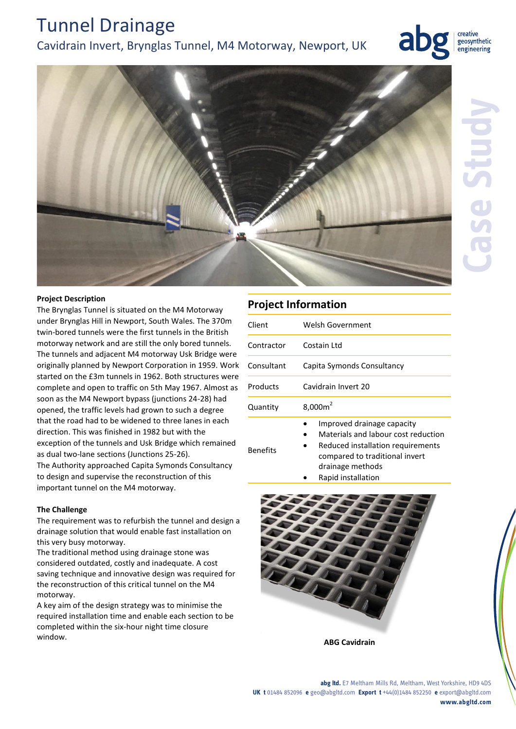# Tunnel Drainage

### Cavidrain Invert, Brynglas Tunnel, M4 Motorway, Newport, UK



creative geosynthetic engineering



### **Project Description**

The Brynglas Tunnel is situated on the M4 Motorway under Brynglas Hill in Newport, South Wales. The 370m twin-bored tunnels were the first tunnels in the British motorway network and are still the only bored tunnels. The tunnels and adjacent M4 motorway Usk Bridge were originally planned by Newport Corporation in 1959. Work started on the £3m tunnels in 1962. Both structures were complete and open to traffic on 5th May 1967. Almost as soon as the M4 Newport bypass (junctions 24-28) had opened, the traffic levels had grown to such a degree that the road had to be widened to three lanes in each direction. This was finished in 1982 but with the exception of the tunnels and Usk Bridge which remained as dual two-lane sections (Junctions 25-26). The Authority approached Capita Symonds Consultancy to design and supervise the reconstruction of this important tunnel on the M4 motorway.

### **The Challenge**

The requirement was to refurbish the tunnel and design a drainage solution that would enable fast installation on this very busy motorway.

The traditional method using drainage stone was considered outdated, costly and inadequate. A cost saving technique and innovative design was required for the reconstruction of this critical tunnel on the M4 motorway.

A key aim of the design strategy was to minimise the required installation time and enable each section to be completed within the six-hour night time closure window.

### **Project Information**

Benefits

| Client     | Welsh Government                                                  |
|------------|-------------------------------------------------------------------|
| Contractor | Costain Ltd                                                       |
| Consultant | Capita Symonds Consultancy                                        |
| Products   | Cavidrain Invert 20                                               |
| Quantity   | $8,000m^2$                                                        |
|            | Improved drainage capacity<br>Materials and labour cost reduction |

- Reduced installation requirements compared to traditional invert drainage methods
	- Rapid installation



**ABG Cavidrain**

#### **abg ltd.** E7 Meltham Mills Rd, Meltham, West Yorkshire, HD9 4DS **UK t** 01484 852096 **e** geo@abgltd.com **Export t** +44(0)1484 852250 **e** export@abgltd.com **www.abgltd.com**